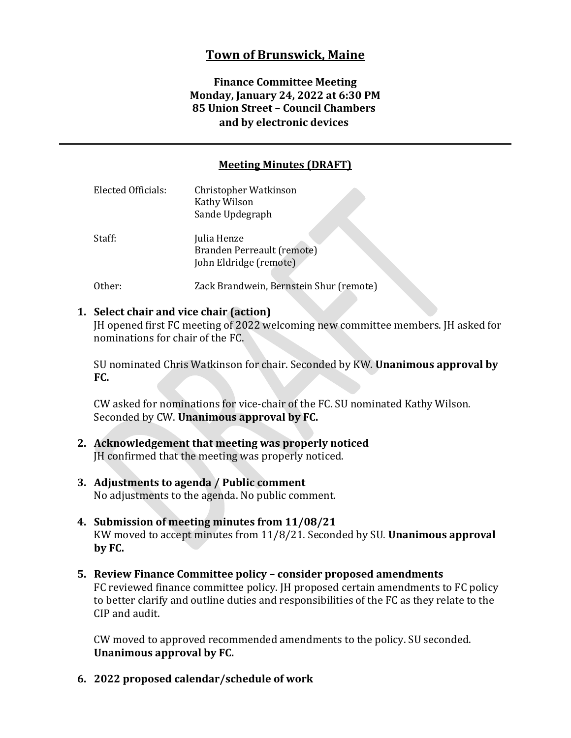# **Town of Brunswick, Maine**

### **Finance Committee Meeting Monday, January 24, 2022 at 6:30 PM 85 Union Street – Council Chambers and by electronic devices**

### **Meeting Minutes (DRAFT)**

| <b>Elected Officials:</b> | Christopher Watkinson<br>Kathy Wilson<br>Sande Updegraph            |
|---------------------------|---------------------------------------------------------------------|
| Staff:                    | Julia Henze<br>Branden Perreault (remote)<br>John Eldridge (remote) |
| Other:                    | Zack Brandwein, Bernstein Shur (remote)                             |

#### **1. Select chair and vice chair (action)**

JH opened first FC meeting of 2022 welcoming new committee members. JH asked for nominations for chair of the FC.

SU nominated Chris Watkinson for chair. Seconded by KW. **Unanimous approval by FC.**

CW asked for nominations for vice-chair of the FC. SU nominated Kathy Wilson. Seconded by CW. **Unanimous approval by FC.**

- **2. Acknowledgement that meeting was properly noticed** JH confirmed that the meeting was properly noticed.
- **3. Adjustments to agenda / Public comment** No adjustments to the agenda. No public comment.
- **4. Submission of meeting minutes from 11/08/21** KW moved to accept minutes from 11/8/21. Seconded by SU. **Unanimous approval by FC.**
- **5. Review Finance Committee policy – consider proposed amendments** FC reviewed finance committee policy. JH proposed certain amendments to FC policy to better clarify and outline duties and responsibilities of the FC as they relate to the CIP and audit.

CW moved to approved recommended amendments to the policy. SU seconded. **Unanimous approval by FC.**

**6. 2022 proposed calendar/schedule of work**